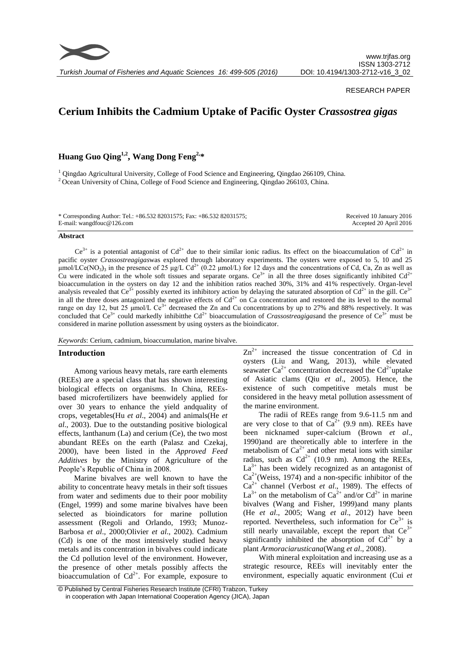

*Turkish Journal of Fisheries and Aquatic Sciences 16: 499-505 (2016)*

### RESEARCH PAPER

# **Cerium Inhibits the Cadmium Uptake of Pacific Oyster** *Crassostrea gigas*

**Huang Guo Qing1,2 , Wang Dong Feng2, \***

<sup>1</sup> Qingdao Agricultural University, College of Food Science and Engineering, Qingdao 266109, China. <sup>2</sup> Ocean University of China, College of Food Science and Engineering, Qingdao 266103, China.

| * Corresponding Author: Tel.: +86.532 82031575; Fax: +86.532 82031575; | Received 10 January 2016 |
|------------------------------------------------------------------------|--------------------------|
| E-mail: wangdfouc@126.com                                              | Accepted 20 April 2016   |

#### **Abstract**

 $Ce^{3+}$  is a potential antagonist of  $Cd^{2+}$  due to their similar ionic radius. Its effect on the bioaccumulation of  $Cd^{2+}$  in pacific oyster *Crassostreagigas*was explored through laboratory experiments. The oysters were exposed to 5, 10 and 25 μmol/LCe(NO<sub>3</sub>)<sub>3</sub> in the presence of 25 μg/L Cd<sup>2+</sup> (0.22 μmol/L) for 12 days and the concentrations of Cd, Ca, Zn as well as Cu were indicated in the whole soft tissues and separate organs. Ce<sup>3+</sup> in all the three doses significantly inhibited Cd<sup>2+</sup> bioaccumulation in the oysters on day 12 and the inhibition ratios reached 30%, 31% and 41% respectively. Organ-level analysis revealed that Ce<sup>3+</sup> possibly exerted its inhibitory action by delaying the saturated absorption of Cd<sup>2+</sup> in the gill. Ce<sup>3+</sup> in all the three doses antagonized the negative effects of  $Cd^{2+}$  on Ca concentration and restored the its level to the normal range on day 12, but 25  $\mu$ mol/L Ce<sup>3+</sup> decreased the Zn and Cu concentrations by up to 27% and 88% respectively. It was concluded that  $Ce^{3+}$  could markedly inhibitthe  $Cd^{2+}$  bioaccumulation of *Crassostreagigas* and the presence of  $Ce^{3+}$  must be considered in marine pollution assessment by using oysters as the bioindicator.

*Keywords*: Cerium, cadmium, bioaccumulation, marine bivalve.

## **Introduction**

Among various heavy metals, rare earth elements (REEs) are a special class that has shown interesting biological effects on organisms. In China, REEsbased microfertilizers have beenwidely applied for over 30 years to enhance the yield andquality of crops, vegetables(Hu *et al*., 2004) and animals(He *et al*., 2003). Due to the outstanding positive biological effects, lanthanum (La) and cerium (Ce), the two most abundant REEs on the earth (Palasz and Czekaj, 2000), have been listed in the *Approved Feed Additives* by the Ministry of Agriculture of the People's Republic of China in 2008.

Marine bivalves are well known to have the ability to concentrate heavy metals in their soft tissues from water and sediments due to their poor mobility (Engel, 1999) and some marine bivalves have been selected as bioindicators for marine pollution assessment (Regoli and Orlando, 1993; Munoz-Barbosa *et al*., 2000;Olivier *et al*., 2002). Cadmium (Cd) is one of the most intensively studied heavy metals and its concentration in bivalves could indicate the Cd pollution level of the environment. However, the presence of other metals possibly affects the bioaccumulation of  $Cd^{2+}$ . For example, exposure to  $Zn^{2+}$  increased the tissue concentration of Cd in oysters (Liu and Wang, 2013), while elevated seawater  $Ca^{2+}$  concentration decreased the  $Cd^{2+}$ uptake of Asiatic clams (Qiu *et al*., 2005). Hence, the existence of such competitive metals must be considered in the heavy metal pollution assessment of the marine environment.

The radii of REEs range from 9.6-11.5 nm and are very close to that of  $Ca^{2+}$  (9.9 nm). REEs have been nicknamed super-calcium (Brown *et al*., 1990)and are theoretically able to interfere in the metabolism of  $Ca^{2+}$  and other metal ions with similar radius, such as  $Cd^{2+}$  (10.9 nm). Among the REEs,  $La^{3+}$  has been widely recognized as an antagonist of  $Ca^{2+}$ (Weiss, 1974) and a non-specific inhibitor of the Ca2+ channel (Verbost *et al*., 1989). The effects of  $La^{3+}$  on the metabolism of  $Ca^{2+}$  and/or  $Cd^{2+}$  in marine bivalves (Wang and Fisher, 1999)and many plants (He *et al*., 2005; Wang *et al*., 2012) have been reported. Nevertheless, such information for  $Ce^{3+}$  is still nearly unavailable, except the report that  $Ce^{3+}$ significantly inhibited the absorption of  $Cd^{2+}$  by a plant *Armoraciarusticana*(Wang *et al*., 2008).

With mineral exploitation and increasing use as a strategic resource, REEs will inevitably enter the environment, especially aquatic environment (Cui *et* 

<sup>©</sup> Published by Central Fisheries Research Institute (CFRI) Trabzon, Turkey in cooperation with Japan International Cooperation Agency (JICA), Japan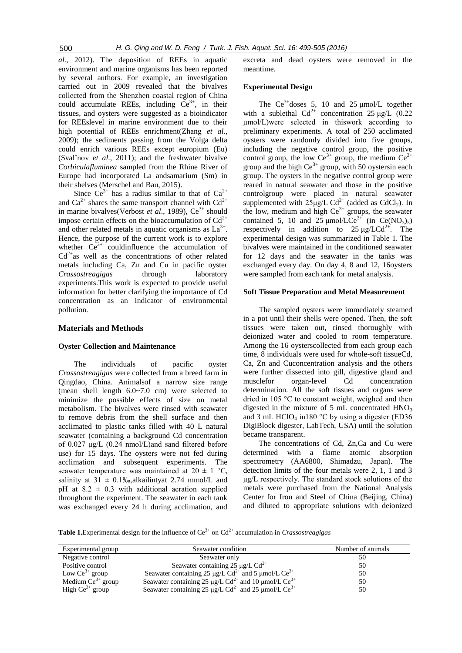*al*., 2012). The deposition of REEs in aquatic environment and marine organisms has been reported by several authors. For example, an investigation carried out in 2009 revealed that the bivalves collected from the Shenzhen coastal region of China could accumulate REEs, including  $Ce^{3+}$ , in their tissues, and oysters were suggested as a bioindicator for REEslevel in marine environment due to their high potential of REEs enrichment(Zhang *et al*., 2009); the sediments passing from the Volga delta could enrich various REEs except europium (Eu) (Sval'nov *et al*., 2011); and the freshwater bivalve *Corbiculafluminea* sampled from the Rhine River of Europe had incorporated La andsamarium (Sm) in their shelves (Merschel and Bau, 2015).

Since  $Ce^{3+}$  has a radius similar to that of  $Ca^{2+}$ and  $Ca^{2+}$  shares the same transport channel with  $Cd^{2+}$ in marine bivalves(Verbost *et al.*, 1989),  $Ce^{3+}$  should impose certain effects on the bioaccumulation of  $Cd^{2+}$ and other related metals in aquatic organisms as  $La^{3+}$ . Hence, the purpose of the current work is to explore whether  $Ce^{3+}$  couldinfluence the accumulation of  $Cd<sup>2+</sup>$ as well as the concentrations of other related metals including Ca, Zn and Cu in pacific oyster *Crassostreagigas* through laboratory experiments.This work is expected to provide useful information for better clarifying the importance of Cd concentration as an indicator of environmental pollution.

#### **Materials and Methods**

#### **Oyster Collection and Maintenance**

The individuals of pacific oyster *Crassostreagigas* were collected from a breed farm in Qingdao, China. Animalsof a narrow size range (mean shell length 6.0~7.0 cm) were selected to minimize the possible effects of size on metal metabolism. The bivalves were rinsed with seawater to remove debris from the shell surface and then acclimated to plastic tanks filled with 40 L natural seawater (containing a background Cd concentration of 0.027 μg/L (0.24 nmol/L)and sand filtered before use) for 15 days. The oysters were not fed during acclimation and subsequent experiments. The seawater temperature was maintained at  $20 \pm 1$  °C, salinity at  $31 \pm 0.1\%$ , alkailintyat 2.74 mmol/L and pH at  $8.2 \pm 0.3$  with additional aeration supplied throughout the experiment. The seawater in each tank was exchanged every 24 h during acclimation, and excreta and dead oysters were removed in the meantime.

### **Experimental Design**

The  $Ce^{3+}$ doses 5, 10 and 25  $\mu$ mol/L together with a sublethal  $Cd^{2+}$  concentration 25 μg/L (0.22) μmol/L)were selected in thiswork according to preliminary experiments. A total of 250 acclimated oysters were randomly divided into five groups, including the negative control group, the positive control group, the low  $Ce^{3+}$  group, the medium  $Ce^{3+}$ group and the high  $Ce^{3+}$  group, with 50 oystersin each group. The oysters in the negative control group were reared in natural seawater and those in the positive controlgroup were placed in natural seawater supplemented with  $25\mu\text{g/L }Cd^{2+}$  (added as CdCl<sub>2</sub>). In the low, medium and high  $Ce^{3+}$  groups, the seawater contained 5, 10 and 25  $\mu$ mol/LCe<sup>3+</sup> (in Ce(NO<sub>3</sub>)<sub>3</sub>) respectively in addition to  $25 \mu g/LCd^{2+}$ . The experimental design was summarized in Table 1. The bivalves were maintained in the conditioned seawater for 12 days and the seawater in the tanks was exchanged every day. On day 4, 8 and 12, 16oysters were sampled from each tank for metal analysis.

## **Soft Tissue Preparation and Metal Measurement**

The sampled oysters were immediately steamed in a pot until their shells were opened. Then, the soft tissues were taken out, rinsed thoroughly with deionized water and cooled to room temperature. Among the 16 oysterscollected from each group each time, 8 individuals were used for whole-soft tissueCd, Ca, Zn and Cuconcentration analysis and the others were further dissected into gill, digestive gland and musclefor organ-level Cd concentration determination. All the soft tissues and organs were dried in 105 °C to constant weight, weighed and then digested in the mixture of 5 mL concentrated  $HNO<sub>3</sub>$ and 3 mL HClO<sub>4</sub> in180 °C by using a digester (ED36 DigiBlock digester, LabTech, USA) until the solution became transparent.

The concentrations of Cd, Zn,Ca and Cu were determined with a flame atomic absorption spectrometry (AA6800, Shimadzu, Japan). The detection limits of the four metals were 2, 1, 1 and 3 μg/L respectively. The standard stock solutions of the metals were purchased from the National Analysis Center for Iron and Steel of China (Beijing, China) and diluted to appropriate solutions with deionized

**Table 1.**Experimental design for the influence of Ce<sup>3+</sup> on Cd<sup>2+</sup> accumulation in *Crassostreagigas* 

| Experimental group            | Seawater condition                                                          | Number of animals |
|-------------------------------|-----------------------------------------------------------------------------|-------------------|
| Negative control              | Seawater only                                                               | 50                |
| Positive control              | Seawater containing 25 µg/L $Cd^{2+}$                                       | 50                |
| Low $\text{Ce}^{3+}$ group    | Seawater containing 25 µg/L $Cd^{2+}$ and 5 µmol/L $Ce^{3+}$                | 50                |
| Medium $\text{Ce}^{3+}$ group | Seawater containing 25 µg/L Cd <sup>2+</sup> and 10 µmol/L Ce <sup>3+</sup> | 50                |
| High $\text{Ce}^{3+}$ group   | Seawater containing 25 µg/L Cd <sup>2+</sup> and 25 µmol/L Ce <sup>3+</sup> | 50                |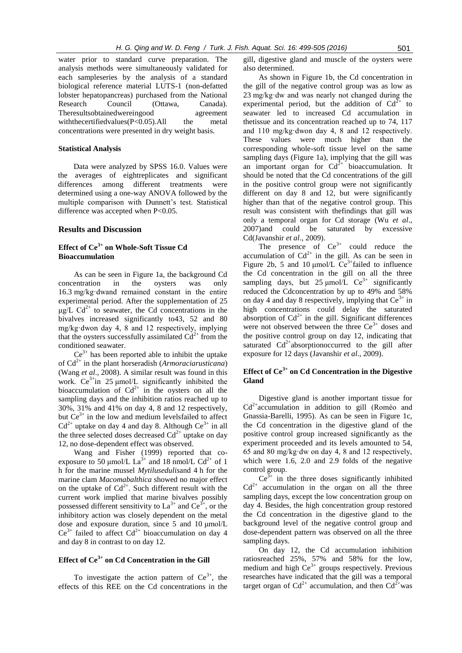water prior to standard curve preparation. The analysis methods were simultaneously validated for each sampleseries by the analysis of a standard biological reference material LUTS-1 (non-defatted lobster hepatopancreas) purchased from the National Research Council (Ottawa, Canada). Theresultsobtainedwereingood agreement with the certified values  $(P< 0.05)$ . All the metal concentrations were presented in dry weight basis.

## **Statistical Analysis**

Data were analyzed by SPSS 16.0. Values were the averages of eightreplicates and significant differences among different treatments were determined using a one-way ANOVA followed by the multiple comparison with Dunnett's test. Statistical difference was accepted when P<0.05.

## **Results and Discussion**

# **Effect of Ce3+ on Whole-Soft Tissue Cd Bioaccumulation**

As can be seen in Figure 1a, the background Cd concentration in the oysters was only 16.3 mg/kg·dwand remained constant in the entire experimental period. After the supplementation of 25  $\mu$ g/L Cd<sup>2+</sup> to seawater, the Cd concentrations in the bivalves increased significantly to43, 52 and 80 mg/kg·dwon day 4, 8 and 12 respectively, implying that the oysters successfully assimilated  $Cd^{2+}$  from the conditioned seawater.

 $Ce^{3+}$  has been reported able to inhibit the uptake of Cd2+ in the plant horseradish (*Armoraciarusticana*) (Wang *et al*., 2008). A similar result was found in this work.  $Ce^{3+}$ in 25 µmol/L significantly inhibited the bioaccumulation of  $Cd^{2+}$  in the oysters on all the sampling days and the inhibition ratios reached up to 30%, 31% and 41% on day 4, 8 and 12 respectively, but  $Ce^{3+}$  in the low and medium levelsfailed to affect  $Cd^{2+}$  uptake on day 4 and day 8. Although  $Ce^{3+}$  in all the three selected doses decreased  $Cd^{2+}$  uptake on day 12, no dose-dependent effect was observed.

Wang and Fisher (1999) reported that coexposure to 50 µmol/L La<sup>3+</sup> and 18 nmol/L Cd<sup>2+</sup> of 1 h for the marine mussel *Mytilusedulis*and 4 h for the marine clam *Macomabalthica* showed no major effect on the uptake of  $Cd^{2+}$ . Such different result with the current work implied that marine bivalves possibly possessed different sensitivity to  $La^{3+}$  and  $Ce^{3+}$ , or the inhibitory action was closely dependent on the metal dose and exposure duration, since 5 and 10 μmol/L  $Ce^{3+}$  failed to affect  $Cd^{2+}$  bioaccumulation on day 4 and day 8 in contrast to on day 12.

# **Effect of Ce3+ on Cd Concentration in the Gill**

To investigate the action pattern of  $Ce^{3+}$ , the effects of this REE on the Cd concentrations in the gill, digestive gland and muscle of the oysters were also determined.

As shown in Figure 1b, the Cd concentration in the gill of the negative control group was as low as 23 mg/kg·dw and was nearly not changed during the experimental period, but the addition of  $Cd^{2+}$  to seawater led to increased Cd accumulation in thetissue and its concentration reached up to 74, 117 and 110 mg/kg·dwon day 4, 8 and 12 respectively. These values were much higher than the corresponding whole-soft tissue level on the same sampling days (Figure 1a), implying that the gill was an important organ for  $Cd^{2+}$  bioaccumulation. It should be noted that the Cd concentrations of the gill in the positive control group were not significantly different on day 8 and 12, but were significantly higher than that of the negative control group. This result was consistent with thefindings that gill was only a temporal organ for Cd storage (Wu *et al*., 2007)and could be saturated by excessive Cd(Javanshir *et al*., 2009).

The presence of  $Ce^{3+}$  could reduce the accumulation of  $Cd^{2+}$  in the gill. As can be seen in Figure 2b, 5 and 10  $\mu$ mol/L Ce<sup>3+</sup>failed to influence the Cd concentration in the gill on all the three sampling days, but 25  $\mu$ mol/L Ce<sup>3+</sup> significantly reduced the Cdconcentration by up to 49% and 58% on day 4 and day 8 respectively, implying that  $Ce^{3+}$  in high concentrations could delay the saturated absorption of  $Cd^{2+}$  in the gill. Significant differences were not observed between the three  $Ce^{3+}$  doses and the positive control group on day 12, indicating that saturated  $Cd^{2+}$ absorptionoccurred to the gill after exposure for 12 days (Javanshir *et al*., 2009).

# **Effect of Ce3+ on Cd Concentration in the Digestive Gland**

Digestive gland is another important tissue for  $Cd<sup>2+</sup> accumulation in addition to gill (Roméo and$ Gnassia-Barelli, 1995). As can be seen in Figure 1c, the Cd concentration in the digestive gland of the positive control group increased significantly as the experiment proceeded and its levels amounted to 54, 65 and 80 mg/kg·dw on day 4, 8 and 12 respectively, which were 1.6, 2.0 and 2.9 folds of the negative control group.

 $Ce^{3+}$  in the three doses significantly inhibited  $Cd^{2+}$  accumulation in the organ on all the three sampling days, except the low concentration group on day 4. Besides, the high concentration group restored the Cd concentration in the digestive gland to the background level of the negative control group and dose-dependent pattern was observed on all the three sampling days.

On day 12, the Cd accumulation inhibition ratiosreached 25%, 57% and 58% for the low, medium and high  $Ce^{3+}$  groups respectively. Previous researches have indicated that the gill was a temporal target organ of  $Cd^{2+}$  accumulation, and then  $Cd^{2+}$ was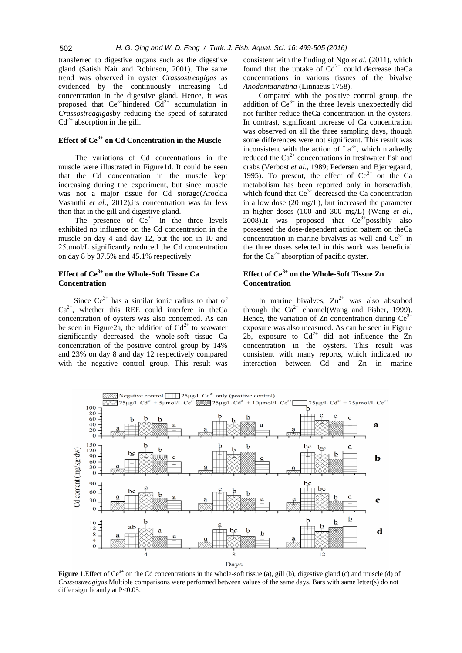transferred to digestive organs such as the digestive gland (Satish Nair and Robinson, 2001). The same trend was observed in oyster *Crassostreagigas* as evidenced by the continuously increasing Cd concentration in the digestive gland. Hence, it was proposed that  $Ce^{3+}$ hindered  $Cd^{2+}$  accumulation in *Crassostreagigas*by reducing the speed of saturated  $Cd^{2+}$  absorption in the gill.

# **Effect of Ce3+ on Cd Concentration in the Muscle**

The variations of Cd concentrations in the muscle were illustrated in Figure1d. It could be seen that the Cd concentration in the muscle kept increasing during the experiment, but since muscle was not a major tissue for Cd storage(Arockia Vasanthi *et al*., 2012),its concentration was far less than that in the gill and digestive gland.

The presence of  $Ce^{3+}$  in the three levels exhibited no influence on the Cd concentration in the muscle on day 4 and day 12, but the ion in 10 and 25μmol/L significantly reduced the Cd concentration on day 8 by 37.5% and 45.1% respectively.

## **Effect of Ce3+ on the Whole-Soft Tissue Ca Concentration**

Since  $Ce^{3+}$  has a similar ionic radius to that of  $Ca^{2+}$ , whether this REE could interfere in theCa concentration of oysters was also concerned. As can be seen in Figure2a, the addition of  $Cd^{2+}$  to seawater significantly decreased the whole-soft tissue Ca concentration of the positive control group by 14% and 23% on day 8 and day 12 respectively compared with the negative control group. This result was

consistent with the finding of Ngo *et al.* (2011), which found that the uptake of  $Cd^{2+}$  could decrease theCa concentrations in various tissues of the bivalve *Anodontaanatina* (Linnaeus 1758).

Compared with the positive control group, the addition of  $Ce^{3+}$  in the three levels unexpectedly did not further reduce theCa concentration in the oysters. In contrast, significant increase of Ca concentration was observed on all the three sampling days, though some differences were not significant. This result was inconsistent with the action of  $La^{3+}$ , which markedly reduced the  $Ca^{2+}$  concentrations in freshwater fish and crabs (Verbost *et al*., 1989; Pedersen and Bjerregaard, 1995). To present, the effect of  $Ce^{3+}$  on the Ca metabolism has been reported only in horseradish, which found that  $Ce^{3+}$  decreased the Ca concentration in a low dose (20 mg/L), but increased the parameter in higher doses (100 and 300 mg/L) (Wang *et al*., 2008).It was proposed that  $Ce^{3+}$ possibly also possessed the dose-dependent action pattern on theCa concentration in marine bivalves as well and  $Ce^{3+}$  in the three doses selected in this work was beneficial for the  $Ca^{2+}$  absorption of pacific oyster.

# **Effect of Ce3+ on the Whole-Soft Tissue Zn Concentration**

In marine bivalves,  $Zn^{2+}$  was also absorbed through the  $Ca^{2+}$  channel(Wang and Fisher, 1999). Hence, the variation of Zn concentration during  $Ce^{3+}$ exposure was also measured. As can be seen in Figure 2b, exposure to  $Cd^{2+}$  did not influence the Zn concentration in the oysters. This result was consistent with many reports, which indicated no interaction between Cd and Zn in marine



**Figure 1.**Effect of Ce<sup>3+</sup> on the Cd concentrations in the whole-soft tissue (a), gill (b), digestive gland (c) and muscle (d) of *Crassostreagigas*.Multiple comparisons were performed between values of the same days. Bars with same letter(s) do not differ significantly at P<0.05.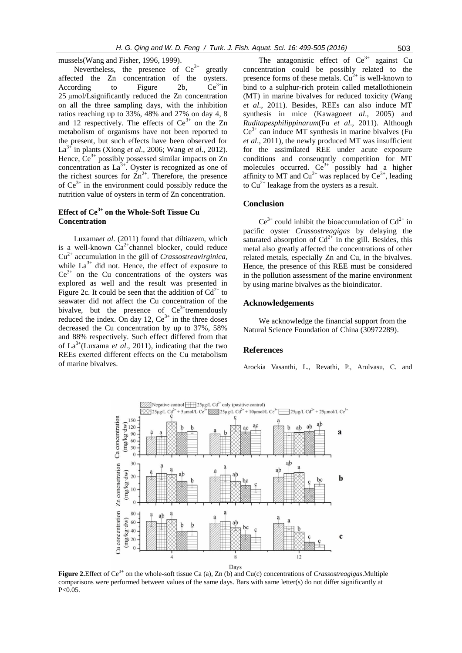mussels(Wang and Fisher, 1996, 1999).

Nevertheless, the presence of  $Ce^{3+}$  greatly affected the Zn concentration of the oysters. According to Figure 2b,  $Ce^{3+}$ in 25 μmol/Lsignificantly reduced the Zn concentration on all the three sampling days, with the inhibition ratios reaching up to 33%, 48% and 27% on day 4, 8 and 12 respectively. The effects of  $Ce^{3+}$  on the Zn metabolism of organisms have not been reported to the present, but such effects have been observed for La3+ in plants (Xiong *et al*., 2006; Wang *et al*., 2012). Hence,  $Ce^{3+}$  possibly possessed similar impacts on Zn concentration as  $La^{3+}$ . Oyster is recognized as one of the richest sources for  $\text{Zn}^{2+}$ . Therefore, the presence of  $Ce^{3+}$  in the environment could possibly reduce the nutrition value of oysters in term of Zn concentration.

# **Effect of Ce3+ on the Whole-Soft Tissue Cu Concentration**

Luxama*et al*. (2011) found that diltiazem, which is a well-known  $Ca^{2+}$ channel blocker, could reduce Cu2+ accumulation in the gill of *Crassostreavirginica*, while  $La^{3+}$  did not. Hence, the effect of exposure to  $Ce^{3+}$  on the Cu concentrations of the oysters was explored as well and the result was presented in Figure 2c. It could be seen that the addition of  $Cd^{2+}$  to seawater did not affect the Cu concentration of the bivalve, but the presence of  $Ce^{3+}$ tremendously reduced the index. On day 12,  $Ce^{3+}$  in the three doses decreased the Cu concentration by up to 37%, 58% and 88% respectively. Such effect differed from that of  $La^{3+}$ (Luxama *et al.*, 2011), indicating that the two REEs exerted different effects on the Cu metabolism of marine bivalves.

The antagonistic effect of  $Ce^{3+}$  against Cu concentration could be possibly related to the presence forms of these metals.  $Cu^{2+}$  is well-known to bind to a sulphur-rich protein called metallothionein (MT) in marine bivalves for reduced toxicity (Wang *et al*., 2011). Besides, REEs can also induce MT synthesis in mice (Kawagoe*et al*., 2005) and *Ruditapesphilippinarum*(Fu *et al*., 2011). Although  $Ce^{3+}$  can induce MT synthesis in marine bivalves (Fu *et al*., 2011), the newly produced MT was insufficient for the assimilated REE under acute exposure conditions and conseuqntly competition for MT molecules occurred.  $Ce^{3+}$  possibly had a higher affinity to MT and  $Cu^{2+}$  was replaced by  $Ce^{3+}$ , leading to  $Cu^{2+}$  leakage from the oysters as a result.

## **Conclusion**

 $Ce^{3+}$  could inhibit the bioaccumulation of  $Cd^{2+}$  in pacific oyster *Crassostreagigas* by delaying the saturated absorption of  $Cd^{2+}$  in the gill. Besides, this metal also greatly affected the concentrations of other related metals, especially Zn and Cu, in the bivalves. Hence, the presence of this REE must be considered in the pollution assessment of the marine environment by using marine bivalves as the bioindicator.

# **Acknowledgements**

We acknowledge the financial support from the Natural Science Foundation of China (30972289).

### **References**

Arockia Vasanthi, L., Revathi, P., Arulvasu, C. and



**Figure 2.**Effect of Ce3+ on the whole-soft tissue Ca (a), Zn (b) and Cu(c) concentrations of *Crassostreagigas*.Multiple comparisons were performed between values of the same days. Bars with same letter(s) do not differ significantly at P<0.05.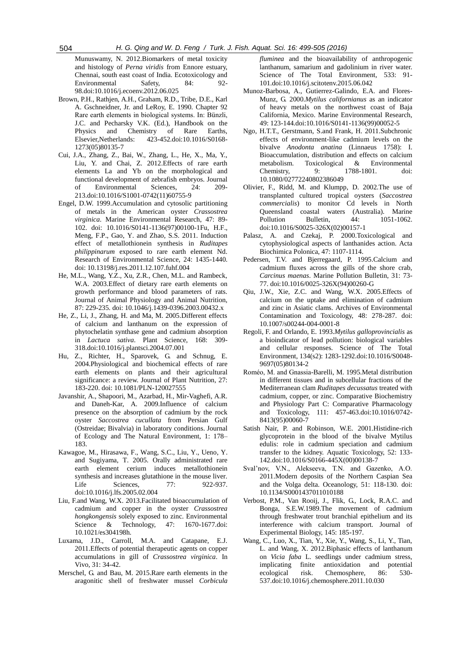Munuswamy, N. 2012.Biomarkers of metal toxicity and histology of *Perna viridis* from Ennore estuary, Chennai, south east coast of India. Ecotoxicology and Environmental Safety 84: 92-98.doi:10.1016/j.ecoenv.2012.06.025

- Brown, P.H., Rathjen, A.H., Graham, R.D., Tribe, D.E., Karl A. Gschneidner, Jr. and LeRoy, E. 1990. Chapter 92 Rare earth elements in biological systems. In: Bünzli, J.C. and Pecharsky V.K. (Ed.), Handbook on the Physics and Chemistry of Rare Earths,<br>Elsevier,Netherlands: 423-452.doi:10.1016/S0168-Elsevier,Netherlands: 423-452.doi:10.1016/S0168- 1273(05)80135-7
- Cui, J.A., Zhang, Z., Bai, W., Zhang, L., He, X., Ma, Y., Liu, Y. and Chai, Z. 2012.Effects of rare earth elements La and Yb on the morphological and functional development of zebrafish embryos. Journal of Environmental Sciences, 24: 209- 213.doi:10.1016/S1001-0742(11)60755-9
- Engel, D.W. 1999.Accumulation and cytosolic partitioning of metals in the American oyster *Crassostrea virginica*. Marine Environmental Research, 47: 89- 102. doi: 10.1016/S0141-1136(97)00100-1Fu, H.F., Meng, F.P., Gao, Y. and Zhao, S.S. 2011. Induction effect of metallothionein synthesis in *Ruditapes philippinarum* exposed to rare earth element Nd. Research of Environmental Science, 24: 1435-1440. doi: 10.13198/j.res.2011.12.107.fuhf.004
- He, M.L., Wang, Y.Z., Xu, Z.R., Chen, M.L. and Rambeck, W.A. 2003.Effect of dietary rare earth elements on growth performance and blood parameters of rats. Journal of Animal Physiology and Animal Nutrition, 87: 229-235. doi: 10.1046/j.1439-0396.2003.00432.x
- He, Z., Li, J., Zhang, H. and Ma, M. 2005.Different effects of calcium and lanthanum on the expression of phytochelatin synthase gene and cadmium absorption in *Lactuca sativa*. Plant Science, 168: 309- 318.doi:10.1016/j.plantsci.2004.07.001
- Hu, Z., Richter, H., Sparovek, G. and Schnug, E. 2004.Physiological and biochemical effects of rare earth elements on plants and their agricultural significance: a review. Journal of Plant Nutrition, 27: 183-220. doi: 10.1081/PLN-120027555
- Javanshir, A., Shapoori, M., Azarbad, H., Mir-Vaghefi, A.R. and Daneh-Kar, A. 2009.Influence of calcium presence on the absorption of cadmium by the rock oyster *Saccostrea cucullata* from Persian Gulf (Ostreidae; Bivalvia) in laboratory conditions. Journal of Ecology and The Natural Environment, 1: 178– 183.
- Kawagoe, M., Hirasawa, F., Wang, S.C., Liu, Y., Ueno, Y. and Sugiyama, T. 2005. Orally administrated rare earth element cerium induces metallothionein synthesis and increases glutathione in the mouse liver. Life Sciences, 77: 922-937. doi:10.1016/j.lfs.2005.02.004
- Liu, F.and Wang, W.X. 2013.Facilitated bioaccumulation of cadmium and copper in the oyster *Crassostrea hongkongensis* solely exposed to zinc. Environmental Science & Technology, 47: 1670-1677.doi: 10.1021/es304198h.
- Luxama, J.D., Carroll, M.A. and Catapane, E.J. 2011.Effects of potential therapeutic agents on copper accumulations in gill of *Crassostrea virginica*. In Vivo, 31: 34-42.
- Merschel, G. and Bau, M. 2015.Rare earth elements in the aragonitic shell of freshwater mussel *Corbicula*

*fluminea* and the bioavailability of anthropogenic lanthanum, samarium and gadolinium in river water. Science of The Total Environment, 533: 91-101.doi:10.1016/j.scitotenv.2015.06.042

- Munoz-Barbosa, A., Gutierrez-Galindo, E.A. and Flores-Munz, G. 2000.*Mytilus californianus* as an indicator of heavy metals on the northwest coast of Baja California, Mexico. Marine Environmental Research, 49: 123-144.doi:10.1016/S0141-1136(99)00052-5
- Ngo, H.T.T., Gerstmann, S.and Frank, H. 2011.Subchronic effects of environment-like cadmium levels on the bivalve *Anodonta anatina* (Linnaeus 1758): I. Bioaccumulation, distribution and effects on calcium metabolism. Toxicological & Environmental Chemistry, 9: 1788-1801. doi: 10.1080/02772240802386049
- Olivier, F., Ridd, M. and Klumpp, D. 2002.The use of transplanted cultured tropical oysters (*Saccostrea commercialis*) to monitor Cd levels in North Queensland coastal waters (Australia). Marine Pollution Bulletin, 44: 1051-1062. doi:10.1016/S0025-326X(02)00157-1
- Palasz, A. and Czekaj, P. 2000.Toxicological and cytophysiological aspects of lanthanides action. Acta Biochimica Polonica, 47: 1107-1114.
- Pedersen, T.V. and Bjerregaard, P. 1995.Calcium and cadmium fluxes across the gills of the shore crab, *Carcinus maenas*. Marine Pollution Bulletin, 31: 73- 77. doi:10.1016/0025-326X(94)00260-G
- Qiu, J.W., Xie, Z.C. and Wang, W.X. 2005.Effects of calcium on the uptake and elimination of cadmium and zinc in Asiatic clams. Archives of Environmental Contamination and Toxicology, 48: 278-287. doi: 10.1007/s00244-004-0001-8
- Regoli, F. and Orlando, E. 1993.*Mytilus galloprovincialis* as a bioindicator of lead pollution: biological variables and cellular responses. Science of The Total Environment, 134(s2): 1283-1292.doi:10.1016/S0048- 9697(05)80134-2
- Roméo, M. and Gnassia-Barelli, M. 1995.Metal distribution in different tissues and in subcellular fractions of the Mediterranean clam *Ruditapes decussatus* treated with cadmium, copper, or zinc. Comparative Biochemistry and Physiology Part C: Comparative Pharmacology and Toxicology, 111: 457-463.doi:10.1016/0742- 8413(95)00060-7
- Satish Nair, P. and Robinson, W.E. 2001.Histidine-rich glycoprotein in the blood of the bivalve Mytilus edulis: role in cadmium speciation and cadmium transfer to the kidney. Aquatic Toxicology, 52: 133- 142.doi:10.1016/S0166-445X(00)00138-7
- Sval'nov, V.N., Alekseeva, T.N. and Gazenko, A.O. 2011.Modern deposits of the Northern Caspian Sea and the Volga delta. Oceanology, 51: 118-130. doi: 10.1134/S0001437011010188
- Verbost, P.M., Van Rooij, J., Flik, G., Lock, R.A.C. and Bonga, S.E.W.1989.The movement of cadmium through freshwater trout branchial epithelium and its interference with calcium transport. Journal of Experimental Biology, 145: 185-197.
- Wang, C., Luo, X., Tian, Y., Xie, Y., Wang, S., Li, Y., Tian, L. and Wang, X. 2012.Biphasic effects of lanthanum on *Vicia faba* L. seedlings under cadmium stress, implicating finite antioxidation and potential ecological risk. Chemosphere, 86: 530- 537.doi:10.1016/j.chemosphere.2011.10.030